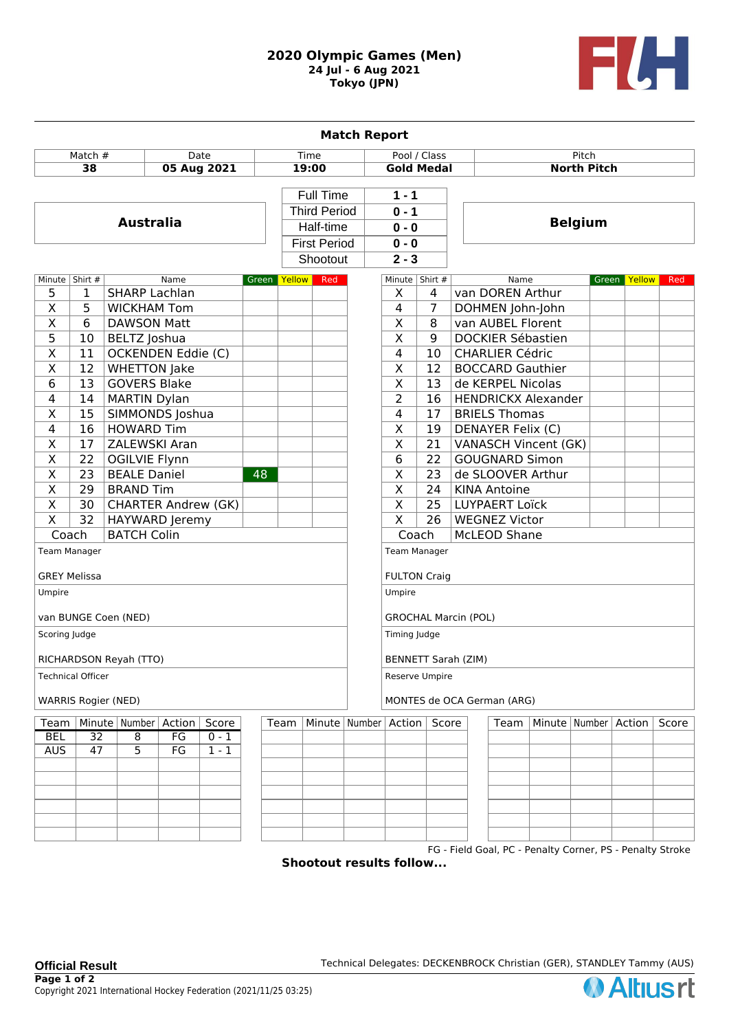## **2020 Olympic Games (Men) 24 Jul - 6 Aug 2021 Tokyo (JPN)**



|                            |                  |                            |      |         |              |                     |                             | <b>Match Report</b>     |                         |                        |                          |                                                           |                          |        |       |
|----------------------------|------------------|----------------------------|------|---------|--------------|---------------------|-----------------------------|-------------------------|-------------------------|------------------------|--------------------------|-----------------------------------------------------------|--------------------------|--------|-------|
| Match #<br>Date            |                  |                            |      | Time    |              |                     | Pool / Class                |                         | Pitch                   |                        |                          |                                                           |                          |        |       |
| 38<br>05 Aug 2021          |                  |                            |      |         | 19:00        |                     | <b>Gold Medal</b>           |                         | <b>North Pitch</b>      |                        |                          |                                                           |                          |        |       |
|                            |                  |                            |      |         |              |                     |                             |                         |                         |                        |                          |                                                           |                          |        |       |
|                            |                  |                            |      |         |              | Full Time           |                             |                         | $1 - 1$                 |                        |                          |                                                           |                          |        |       |
|                            |                  |                            |      |         |              | <b>Third Period</b> |                             |                         | $0 - 1$                 |                        |                          |                                                           |                          |        |       |
| <b>Australia</b>           |                  |                            |      |         |              |                     | Half-time                   |                         | $0 - 0$                 |                        | <b>Belgium</b>           |                                                           |                          |        |       |
|                            |                  |                            |      |         |              |                     | <b>First Period</b>         |                         | $0 - 0$                 |                        |                          |                                                           |                          |        |       |
|                            |                  |                            |      |         |              | Shootout            |                             |                         | $2 - 3$                 |                        |                          |                                                           |                          |        |       |
|                            | Minute   Shirt # |                            | Name |         | Green Yellow |                     | Red                         |                         | Minute Shirt #          |                        |                          | Name                                                      | Green                    | Yellow | Red   |
| 5                          | 1                | <b>SHARP Lachlan</b>       |      |         |              |                     |                             |                         | X                       | 4                      | van DOREN Arthur         |                                                           |                          |        |       |
| X                          | 5                | <b>WICKHAM Tom</b>         |      |         |              |                     |                             |                         | 4                       | 7                      |                          | DOHMEN John-John                                          |                          |        |       |
| $\overline{\mathsf{x}}$    | 6                | <b>DAWSON Matt</b>         |      |         |              |                     |                             |                         | X                       | 8                      | van AUBEL Florent        |                                                           |                          |        |       |
| 5                          | 10               | BELTZ Joshua               |      |         |              |                     |                             | $\overline{\mathsf{x}}$ | 9                       |                        | <b>DOCKIER Sébastien</b> |                                                           |                          |        |       |
| $\overline{\mathsf{X}}$    | 11               | OCKENDEN Eddie (C)         |      |         |              |                     |                             | 4<br>10                 |                         | <b>CHARLIER Cédric</b> |                          |                                                           |                          |        |       |
| $\overline{\mathsf{X}}$    | 12               | <b>WHETTON Jake</b>        |      |         |              |                     |                             |                         | $\overline{X}$<br>12    |                        |                          | <b>BOCCARD Gauthier</b>                                   |                          |        |       |
| 6                          | 13               | <b>GOVERS Blake</b>        |      |         |              |                     |                             |                         | $\overline{X}$          | 13                     |                          | de KERPEL Nicolas                                         |                          |        |       |
| 4                          | 14               | <b>MARTIN Dylan</b>        |      |         |              |                     |                             |                         | $\overline{2}$          | 16                     |                          | <b>HENDRICKX Alexander</b>                                |                          |        |       |
| X                          | 15               | SIMMONDS Joshua            |      |         |              |                     |                             |                         | 4                       | 17                     | <b>BRIELS Thomas</b>     |                                                           |                          |        |       |
| $\overline{4}$             | $\overline{16}$  | <b>HOWARD Tim</b>          |      |         |              |                     |                             |                         | $\overline{\mathsf{x}}$ | 19                     | <b>DENAYER Felix (C)</b> |                                                           |                          |        |       |
| $\overline{\mathsf{x}}$    | 17               | ZALEWSKI Aran              |      |         |              |                     |                             |                         | $\overline{\mathsf{x}}$ | 21                     |                          | VANASCH Vincent (GK)                                      |                          |        |       |
| $\overline{\mathsf{x}}$    | 22               | <b>OGILVIE Flynn</b>       |      |         |              |                     |                             |                         | $\overline{6}$          | 22                     | <b>GOUGNARD Simon</b>    |                                                           |                          |        |       |
| $\overline{\mathsf{x}}$    | $\overline{23}$  | <b>BEALE Daniel</b>        |      |         | 48           |                     |                             |                         | $\overline{\mathsf{x}}$ | 23                     |                          | de SLOOVER Arthur                                         |                          |        |       |
| $\overline{\mathsf{x}}$    | $\overline{29}$  | <b>BRAND Tim</b>           |      |         |              |                     |                             |                         | $\overline{\mathsf{x}}$ | $\overline{24}$        | <b>KINA Antoine</b>      |                                                           |                          |        |       |
| $\overline{\mathsf{x}}$    | 30               | <b>CHARTER Andrew (GK)</b> |      |         |              |                     |                             |                         | $\overline{\mathsf{x}}$ | $\overline{25}$        | <b>LUYPAERT Loïck</b>    |                                                           |                          |        |       |
| $\overline{\mathsf{x}}$    | $\overline{32}$  | HAYWARD Jeremy             |      |         |              |                     |                             |                         | $\overline{\mathsf{x}}$ | 26                     | <b>WEGNEZ Victor</b>     |                                                           |                          |        |       |
| Coach                      |                  | <b>BATCH Colin</b>         |      |         |              |                     |                             |                         | Coach                   |                        | McLEOD Shane             |                                                           |                          |        |       |
|                            | Team Manager     |                            |      |         |              |                     |                             |                         | Team Manager            |                        |                          |                                                           |                          |        |       |
|                            |                  |                            |      |         |              |                     |                             |                         |                         |                        |                          |                                                           |                          |        |       |
| <b>GREY Melissa</b>        |                  |                            |      |         |              | <b>FULTON Craig</b> |                             |                         |                         |                        |                          |                                                           |                          |        |       |
| Umpire                     |                  |                            |      |         |              | Umpire              |                             |                         |                         |                        |                          |                                                           |                          |        |       |
|                            |                  |                            |      |         |              |                     |                             |                         |                         |                        |                          |                                                           |                          |        |       |
| van BUNGE Coen (NED)       |                  |                            |      |         |              |                     | <b>GROCHAL Marcin (POL)</b> |                         |                         |                        |                          |                                                           |                          |        |       |
| Scoring Judge              |                  |                            |      |         |              |                     | Timing Judge                |                         |                         |                        |                          |                                                           |                          |        |       |
| RICHARDSON Reyah (TTO)     |                  |                            |      |         |              |                     | BENNETT Sarah (ZIM)         |                         |                         |                        |                          |                                                           |                          |        |       |
| <b>Technical Officer</b>   |                  |                            |      |         |              |                     | Reserve Umpire              |                         |                         |                        |                          |                                                           |                          |        |       |
| <b>WARRIS Rogier (NED)</b> |                  |                            |      |         |              |                     | MONTES de OCA German (ARG)  |                         |                         |                        |                          |                                                           |                          |        |       |
| Team                       |                  | Minute   Number   Action   |      | Score   |              | Team                | Minute   Number   Action    |                         |                         | Score                  | Team                     |                                                           | Minute   Number   Action |        | Score |
| <b>BEL</b>                 | $\overline{32}$  | $\overline{8}$             | FG   | $0 - 1$ |              |                     |                             |                         |                         |                        |                          |                                                           |                          |        |       |
| <b>AUS</b>                 | 47               | 5                          | FG   | $1 - 1$ |              |                     |                             |                         |                         |                        |                          |                                                           |                          |        |       |
|                            |                  |                            |      |         |              |                     |                             |                         |                         |                        |                          |                                                           |                          |        |       |
|                            |                  |                            |      |         |              |                     |                             |                         |                         |                        |                          |                                                           |                          |        |       |
|                            |                  |                            |      |         |              |                     |                             |                         |                         |                        |                          |                                                           |                          |        |       |
|                            |                  |                            |      |         |              |                     |                             |                         |                         |                        |                          |                                                           |                          |        |       |
|                            |                  |                            |      |         |              |                     |                             |                         |                         |                        |                          |                                                           |                          |        |       |
|                            |                  |                            |      |         |              |                     |                             |                         |                         |                        |                          | FG - Field Goal, PC - Penalty Corner, PS - Penalty Stroke |                          |        |       |
|                            |                  |                            |      |         |              |                     |                             |                         | £~II.                   |                        |                          |                                                           |                          |        |       |

**Shootout results follow...**

**Official Result Technical Delegates: DECKENBROCK Christian (GER), STANDLEY Tammy (AUS)**